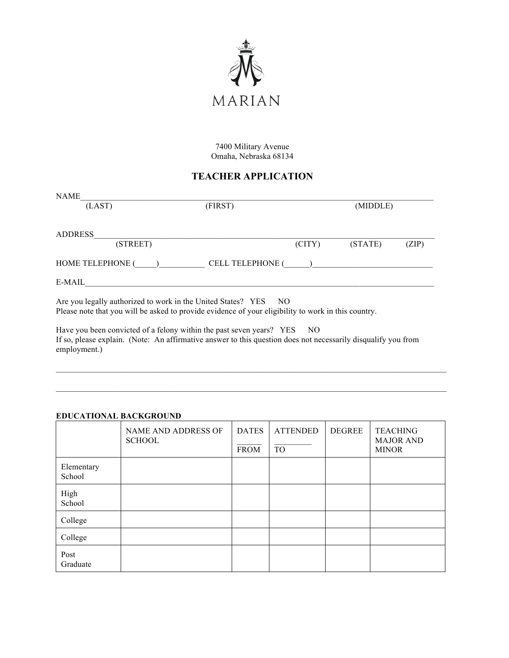

7400 Military Avenue Omaha, Nebraska 68134

# **TEACHER APPLICATION**

| <b>NAME</b>                                                                                                                                                            |                         |        |          |       |
|------------------------------------------------------------------------------------------------------------------------------------------------------------------------|-------------------------|--------|----------|-------|
| (LAST)                                                                                                                                                                 | (FIRST)                 |        | (MIDDLE) |       |
|                                                                                                                                                                        |                         |        |          |       |
| <b>ADDRESS</b>                                                                                                                                                         |                         |        |          |       |
| (STREET)                                                                                                                                                               |                         | (CITY) | (STATE)  | (ZIP) |
| HOME TELEPHONE ()                                                                                                                                                      | <b>CELL TELEPHONE (</b> |        |          |       |
| E-MAIL                                                                                                                                                                 |                         |        |          |       |
| Are you legally authorized to work in the United States? YES NO<br>Please note that you will be asked to provide evidence of your eligibility to work in this country. |                         |        |          |       |

Have you been convicted of a felony within the past seven years? YES NO If so, please explain. (Note: An affirmative answer to this question does not necessarily disqualify you from employment.)

 $\_$  , and the state of the state of the state of the state of the state of the state of the state of the state of the state of the state of the state of the state of the state of the state of the state of the state of the

### **EDUCATIONAL BACKGROUND**

|                      | <b>NAME AND ADDRESS OF</b><br><b>SCHOOL</b> | <b>DATES</b><br><b>FROM</b> | <b>ATTENDED</b><br><b>TO</b> | <b>DEGREE</b> | <b>TEACHING</b><br><b>MAJOR AND</b><br><b>MINOR</b> |
|----------------------|---------------------------------------------|-----------------------------|------------------------------|---------------|-----------------------------------------------------|
| Elementary<br>School |                                             |                             |                              |               |                                                     |
| High<br>School       |                                             |                             |                              |               |                                                     |
| College              |                                             |                             |                              |               |                                                     |
| College              |                                             |                             |                              |               |                                                     |
| Post<br>Graduate     |                                             |                             |                              |               |                                                     |